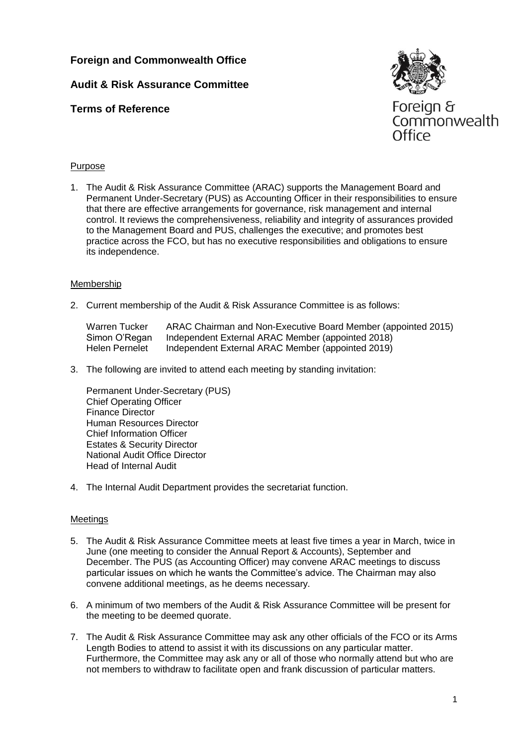# **Audit & Risk Assurance Committee**

## **Terms of Reference**



Commonwealth Office

### Purpose

1. The Audit & Risk Assurance Committee (ARAC) supports the Management Board and Permanent Under-Secretary (PUS) as Accounting Officer in their responsibilities to ensure that there are effective arrangements for governance, risk management and internal control. It reviews the comprehensiveness, reliability and integrity of assurances provided to the Management Board and PUS, challenges the executive; and promotes best practice across the FCO, but has no executive responsibilities and obligations to ensure its independence.

#### Membership

2. Current membership of the Audit & Risk Assurance Committee is as follows:

Warren Tucker ARAC Chairman and Non-Executive Board Member (appointed 2015) Simon O'Regan Independent External ARAC Member (appointed 2018) Helen Pernelet Independent External ARAC Member (appointed 2019)

3. The following are invited to attend each meeting by standing invitation:

Permanent Under-Secretary (PUS) Chief Operating Officer Finance Director Human Resources Director Chief Information Officer Estates & Security Director National Audit Office Director Head of Internal Audit

4. The Internal Audit Department provides the secretariat function.

### Meetings

- 5. The Audit & Risk Assurance Committee meets at least five times a year in March, twice in June (one meeting to consider the Annual Report & Accounts), September and December. The PUS (as Accounting Officer) may convene ARAC meetings to discuss particular issues on which he wants the Committee's advice. The Chairman may also convene additional meetings, as he deems necessary.
- 6. A minimum of two members of the Audit & Risk Assurance Committee will be present for the meeting to be deemed quorate.
- 7. The Audit & Risk Assurance Committee may ask any other officials of the FCO or its Arms Length Bodies to attend to assist it with its discussions on any particular matter. Furthermore, the Committee may ask any or all of those who normally attend but who are not members to withdraw to facilitate open and frank discussion of particular matters.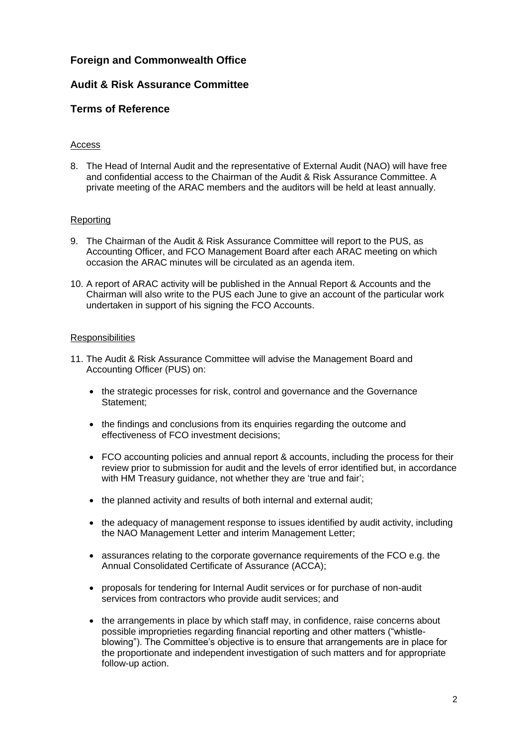## **Audit & Risk Assurance Committee**

## **Terms of Reference**

### Access

8. The Head of Internal Audit and the representative of External Audit (NAO) will have free and confidential access to the Chairman of the Audit & Risk Assurance Committee. A private meeting of the ARAC members and the auditors will be held at least annually.

### Reporting

- 9. The Chairman of the Audit & Risk Assurance Committee will report to the PUS, as Accounting Officer, and FCO Management Board after each ARAC meeting on which occasion the ARAC minutes will be circulated as an agenda item.
- 10. A report of ARAC activity will be published in the Annual Report & Accounts and the Chairman will also write to the PUS each June to give an account of the particular work undertaken in support of his signing the FCO Accounts.

#### **Responsibilities**

- 11. The Audit & Risk Assurance Committee will advise the Management Board and Accounting Officer (PUS) on:
	- the strategic processes for risk, control and governance and the Governance Statement;
	- the findings and conclusions from its enquiries regarding the outcome and effectiveness of FCO investment decisions;
	- FCO accounting policies and annual report & accounts, including the process for their review prior to submission for audit and the levels of error identified but, in accordance with HM Treasury guidance, not whether they are 'true and fair';
	- the planned activity and results of both internal and external audit;
	- the adequacy of management response to issues identified by audit activity, including the NAO Management Letter and interim Management Letter;
	- assurances relating to the corporate governance requirements of the FCO e.g. the Annual Consolidated Certificate of Assurance (ACCA);
	- proposals for tendering for Internal Audit services or for purchase of non-audit services from contractors who provide audit services; and
	- the arrangements in place by which staff may, in confidence, raise concerns about possible improprieties regarding financial reporting and other matters ("whistleblowing"). The Committee's objective is to ensure that arrangements are in place for the proportionate and independent investigation of such matters and for appropriate follow-up action.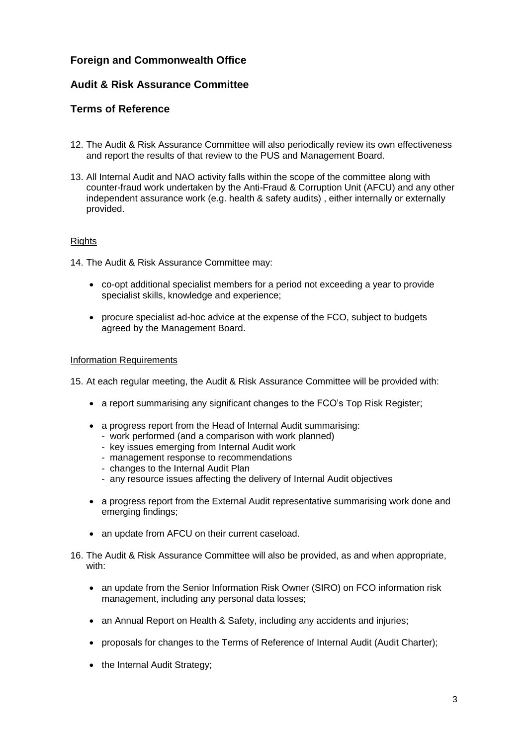## **Audit & Risk Assurance Committee**

## **Terms of Reference**

- 12. The Audit & Risk Assurance Committee will also periodically review its own effectiveness and report the results of that review to the PUS and Management Board.
- 13. All Internal Audit and NAO activity falls within the scope of the committee along with counter-fraud work undertaken by the Anti-Fraud & Corruption Unit (AFCU) and any other independent assurance work (e.g. health & safety audits) , either internally or externally provided.

#### **Rights**

14. The Audit & Risk Assurance Committee may:

- co-opt additional specialist members for a period not exceeding a year to provide specialist skills, knowledge and experience;
- procure specialist ad-hoc advice at the expense of the FCO, subject to budgets agreed by the Management Board.

#### Information Requirements

15. At each regular meeting, the Audit & Risk Assurance Committee will be provided with:

- a report summarising any significant changes to the FCO's Top Risk Register;
- a progress report from the Head of Internal Audit summarising:
	- work performed (and a comparison with work planned)
	- key issues emerging from Internal Audit work
	- management response to recommendations
	- changes to the Internal Audit Plan
	- any resource issues affecting the delivery of Internal Audit objectives
- a progress report from the External Audit representative summarising work done and emerging findings;
- an update from AFCU on their current caseload.
- 16. The Audit & Risk Assurance Committee will also be provided, as and when appropriate, with:
	- an update from the Senior Information Risk Owner (SIRO) on FCO information risk management, including any personal data losses;
	- an Annual Report on Health & Safety, including any accidents and injuries;
	- proposals for changes to the Terms of Reference of Internal Audit (Audit Charter);
	- the Internal Audit Strategy;